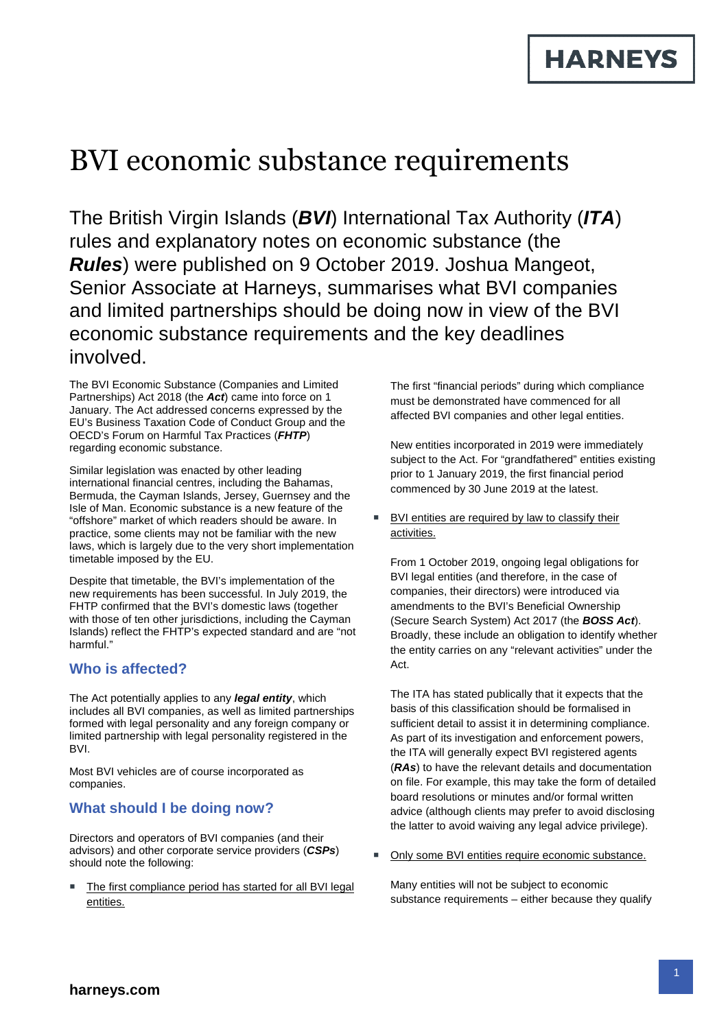# BVI economic substance requirements

The British Virgin Islands (*BVI*) International Tax Authority (*ITA*) rules and explanatory notes on economic substance (the *Rules*) were published on 9 October 2019. Joshua Mangeot, Senior Associate at Harneys, summarises what BVI companies and limited partnerships should be doing now in view of the BVI economic substance requirements and the key deadlines involved.

The BVI Economic Substance (Companies and Limited Partnerships) Act 2018 (the *Act*) came into force on 1 January. The Act addressed concerns expressed by the EU's Business Taxation Code of Conduct Group and the OECD's Forum on Harmful Tax Practices (*FHTP*) regarding economic substance.

Similar legislation was enacted by other leading international financial centres, including the Bahamas, Bermuda, the Cayman Islands, Jersey, Guernsey and the Isle of Man. Economic substance is a new feature of the "offshore" market of which readers should be aware. In practice, some clients may not be familiar with the new laws, which is largely due to the very short implementation timetable imposed by the EU.

Despite that timetable, the BVI's implementation of the new requirements has been successful. In July 2019, the FHTP confirmed that the BVI's domestic laws (together with those of ten other jurisdictions, including the Cayman Islands) reflect the FHTP's expected standard and are "not harmful."

## **Who is affected?**

The Act potentially applies to any *legal entity*, which includes all BVI companies, as well as limited partnerships formed with legal personality and any foreign company or limited partnership with legal personality registered in the BVI.

Most BVI vehicles are of course incorporated as companies.

## **What should I be doing now?**

Directors and operators of BVI companies (and their advisors) and other corporate service providers (*CSPs*) should note the following:

The first compliance period has started for all BVI legal entities.

The first "financial periods" during which compliance must be demonstrated have commenced for all affected BVI companies and other legal entities.

New entities incorporated in 2019 were immediately subject to the Act. For "grandfathered" entities existing prior to 1 January 2019, the first financial period commenced by 30 June 2019 at the latest.

 BVI entities are required by law to classify their activities.

From 1 October 2019, ongoing legal obligations for BVI legal entities (and therefore, in the case of companies, their directors) were introduced via amendments to the BVI's Beneficial Ownership (Secure Search System) Act 2017 (the *BOSS Act*). Broadly, these include an obligation to identify whether the entity carries on any "relevant activities" under the Act.

The ITA has stated publically that it expects that the basis of this classification should be formalised in sufficient detail to assist it in determining compliance. As part of its investigation and enforcement powers, the ITA will generally expect BVI registered agents (*RAs*) to have the relevant details and documentation on file. For example, this may take the form of detailed board resolutions or minutes and/or formal written advice (although clients may prefer to avoid disclosing the latter to avoid waiving any legal advice privilege).

Only some BVI entities require economic substance.

Many entities will not be subject to economic substance requirements – either because they qualify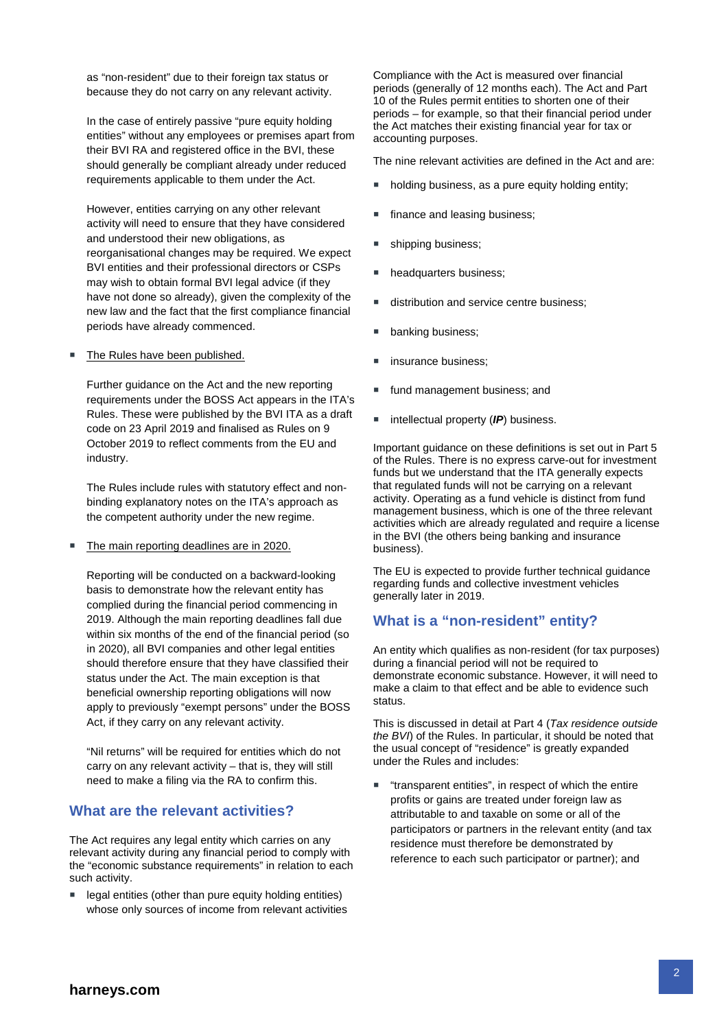as "non-resident" due to their foreign tax status or because they do not carry on any relevant activity.

In the case of entirely passive "pure equity holding entities" without any employees or premises apart from their BVI RA and registered office in the BVI, these should generally be compliant already under reduced requirements applicable to them under the Act.

However, entities carrying on any other relevant activity will need to ensure that they have considered and understood their new obligations, as reorganisational changes may be required. We expect BVI entities and their professional directors or CSPs may wish to obtain formal BVI legal advice (if they have not done so already), given the complexity of the new law and the fact that the first compliance financial periods have already commenced.

The Rules have been published.

Further guidance on the Act and the new reporting requirements under the BOSS Act appears in the ITA's Rules. These were published by the BVI ITA as a draft code on 23 April 2019 and finalised as Rules on 9 October 2019 to reflect comments from the EU and industry.

The Rules include rules with statutory effect and nonbinding explanatory notes on the ITA's approach as the competent authority under the new regime.

The main reporting deadlines are in 2020.

Reporting will be conducted on a backward-looking basis to demonstrate how the relevant entity has complied during the financial period commencing in 2019. Although the main reporting deadlines fall due within six months of the end of the financial period (so in 2020), all BVI companies and other legal entities should therefore ensure that they have classified their status under the Act. The main exception is that beneficial ownership reporting obligations will now apply to previously "exempt persons" under the BOSS Act, if they carry on any relevant activity.

"Nil returns" will be required for entities which do not carry on any relevant activity – that is, they will still need to make a filing via the RA to confirm this.

### **What are the relevant activities?**

The Act requires any legal entity which carries on any relevant activity during any financial period to comply with the "economic substance requirements" in relation to each such activity.

**EXEC** legal entities (other than pure equity holding entities) whose only sources of income from relevant activities Compliance with the Act is measured over financial periods (generally of 12 months each). The Act and Part 10 of the Rules permit entities to shorten one of their periods – for example, so that their financial period under the Act matches their existing financial year for tax or accounting purposes.

The nine relevant activities are defined in the Act and are:

- **holding business, as a pure equity holding entity;**
- finance and leasing business;
- shipping business;
- **headquarters business;**
- distribution and service centre business;
- **banking business;**
- insurance business;
- **fund management business; and**
- intellectual property (*IP*) business.

Important guidance on these definitions is set out in Part 5 of the Rules. There is no express carve-out for investment funds but we understand that the ITA generally expects that regulated funds will not be carrying on a relevant activity. Operating as a fund vehicle is distinct from fund management business, which is one of the three relevant activities which are already regulated and require a license in the BVI (the others being banking and insurance business).

The EU is expected to provide further technical guidance regarding funds and collective investment vehicles generally later in 2019.

### **What is a "non-resident" entity?**

An entity which qualifies as non-resident (for tax purposes) during a financial period will not be required to demonstrate economic substance. However, it will need to make a claim to that effect and be able to evidence such status.

This is discussed in detail at Part 4 (*Tax residence outside the BVI*) of the Rules. In particular, it should be noted that the usual concept of "residence" is greatly expanded under the Rules and includes:

■ "transparent entities", in respect of which the entire profits or gains are treated under foreign law as attributable to and taxable on some or all of the participators or partners in the relevant entity (and tax residence must therefore be demonstrated by reference to each such participator or partner); and